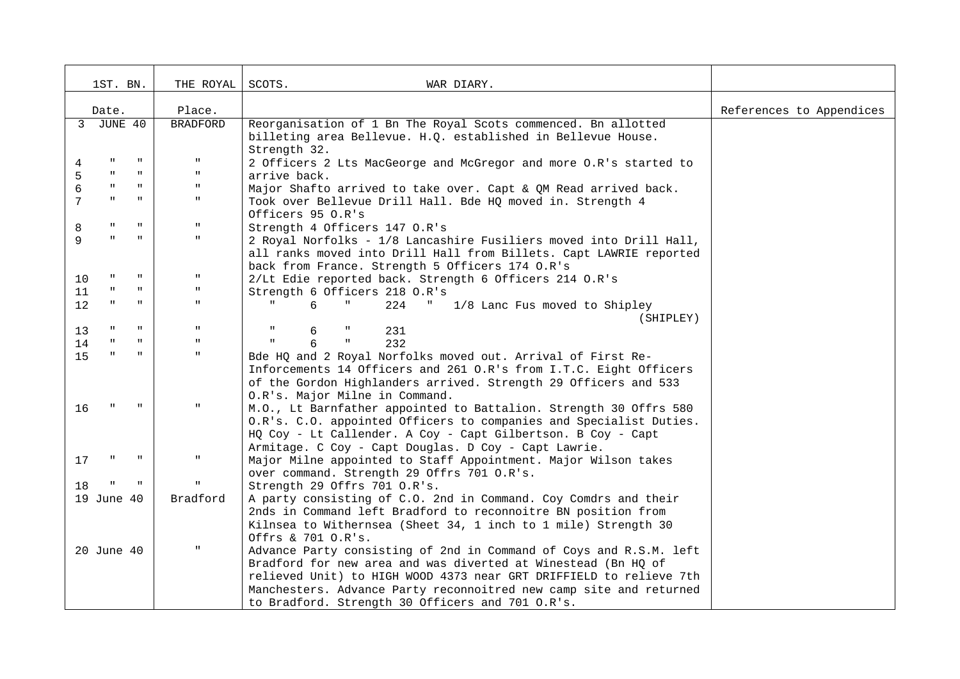|                 | 1ST. BN.     |              | THE ROYAL       | SCOTS.<br>WAR DIARY.                                                                                                                     |                          |
|-----------------|--------------|--------------|-----------------|------------------------------------------------------------------------------------------------------------------------------------------|--------------------------|
| Place.<br>Date. |              |              |                 |                                                                                                                                          | References to Appendices |
|                 | 3 JUNE 40    |              | <b>BRADFORD</b> | Reorganisation of 1 Bn The Royal Scots commenced. Bn allotted                                                                            |                          |
|                 |              |              |                 | billeting area Bellevue. H.Q. established in Bellevue House.                                                                             |                          |
| 4               | $\mathbf{H}$ | $\mathbf H$  | п.              | Strength 32.<br>2 Officers 2 Lts MacGeorge and McGregor and more O.R's started to                                                        |                          |
| 5               |              |              | $\mathbf H$     | arrive back.                                                                                                                             |                          |
| 6               |              | $\mathbf H$  | $\mathbf{H}$ .  | Major Shafto arrived to take over. Capt & QM Read arrived back.                                                                          |                          |
| 7               |              | $\mathbf{H}$ | $\mathbf{H}$ .  | Took over Bellevue Drill Hall. Bde HQ moved in. Strength 4                                                                               |                          |
|                 |              |              |                 | Officers 95 O.R's                                                                                                                        |                          |
| 8               |              | $\mathbf{H}$ | $\mathbf H$     | Strength 4 Officers 147 O.R's                                                                                                            |                          |
| 9               |              | $\mathbf{u}$ | $\mathbf H$     | 2 Royal Norfolks - 1/8 Lancashire Fusiliers moved into Drill Hall,                                                                       |                          |
|                 |              |              |                 | all ranks moved into Drill Hall from Billets. Capt LAWRIE reported                                                                       |                          |
|                 |              | $\mathbf H$  | $\mathbf{H}$    | back from France. Strength 5 Officers 174 O.R's                                                                                          |                          |
| 10<br>11        |              | $\mathbf{u}$ | $\mathbf H$     | 2/Lt Edie reported back. Strength 6 Officers 214 O.R's<br>Strength 6 Officers 218 O.R's                                                  |                          |
| 12              |              | $\mathbf{u}$ | $\mathbf{H}$    | б.<br>224<br>$\mathbf{u}_{\mathrm{max}}$<br>1/8 Lanc Fus moved to Shipley                                                                |                          |
|                 |              |              |                 | (SHIPLEY)                                                                                                                                |                          |
| 13              |              | $\mathbf{u}$ | $\mathbf H$     | 231<br>6<br>$\,$ II                                                                                                                      |                          |
| 14              |              | $\mathbf{u}$ | $\mathbf{u}$    | 6<br>232<br>$\mathbf{H}$                                                                                                                 |                          |
| 15              |              | $\mathbf{u}$ | $\mathbf{H}$ .  | Bde HQ and 2 Royal Norfolks moved out. Arrival of First Re-                                                                              |                          |
|                 |              |              |                 | Inforcements 14 Officers and 261 O.R's from I.T.C. Eight Officers                                                                        |                          |
|                 |              |              |                 | of the Gordon Highlanders arrived. Strength 29 Officers and 533                                                                          |                          |
|                 |              |              |                 | O.R's. Major Milne in Command.                                                                                                           |                          |
| 16              |              |              | $\mathbf{u}$    | M.O., Lt Barnfather appointed to Battalion. Strength 30 Offrs 580                                                                        |                          |
|                 |              |              |                 | O.R's. C.O. appointed Officers to companies and Specialist Duties.                                                                       |                          |
|                 |              |              |                 | HQ Coy - Lt Callender. A Coy - Capt Gilbertson. B Coy - Capt<br>Armitage. C Coy - Capt Douglas. D Coy - Capt Lawrie.                     |                          |
| 17              |              |              | $\mathbf H$     | Major Milne appointed to Staff Appointment. Major Wilson takes                                                                           |                          |
|                 |              |              |                 | over command. Strength 29 Offrs 701 O.R's.                                                                                               |                          |
| 18              |              |              | $\mathbf{u}$    | Strength 29 Offrs 701 O.R's.                                                                                                             |                          |
|                 | 19 June 40   |              | Bradford        | A party consisting of C.O. 2nd in Command. Coy Comdrs and their                                                                          |                          |
|                 |              |              |                 | 2nds in Command left Bradford to reconnoitre BN position from                                                                            |                          |
|                 |              |              |                 | Kilnsea to Withernsea (Sheet 34, 1 inch to 1 mile) Strength 30                                                                           |                          |
|                 |              |              |                 | Offrs & 701 O.R's.                                                                                                                       |                          |
|                 | 20 June 40   |              | $\mathbf H$     | Advance Party consisting of 2nd in Command of Coys and R.S.M. left                                                                       |                          |
|                 |              |              |                 | Bradford for new area and was diverted at Winestead (Bn HQ of                                                                            |                          |
|                 |              |              |                 | relieved Unit) to HIGH WOOD 4373 near GRT DRIFFIELD to relieve 7th<br>Manchesters. Advance Party reconnoitred new camp site and returned |                          |
|                 |              |              |                 | to Bradford. Strength 30 Officers and 701 O.R's.                                                                                         |                          |
|                 |              |              |                 |                                                                                                                                          |                          |